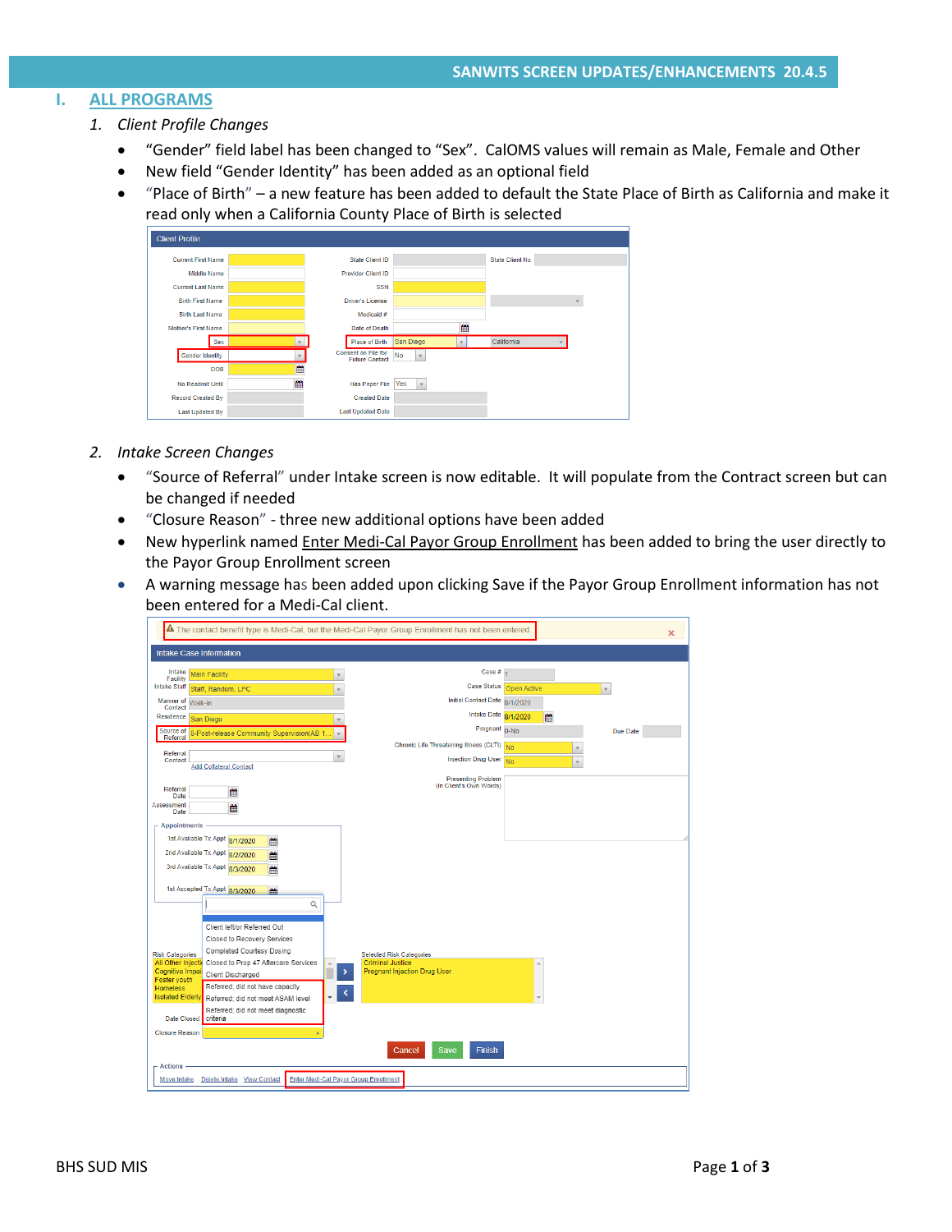# **I. ALL PROGRAMS**

- *1. Client Profile Changes*
	- "Gender" field label has been changed to "Sex". CalOMS values will remain as Male, Female and Other
	- New field "Gender Identity" has been added as an optional field
	- "Place of Birth" a new feature has been added to default the State Place of Birth as California and make it read only when a California County Place of Birth is selected

| <b>Client Profile</b>      |   |                                              |                     |                        |  |
|----------------------------|---|----------------------------------------------|---------------------|------------------------|--|
| <b>Current First Name</b>  |   | State Client ID                              |                     | <b>State Client No</b> |  |
| Middle Name                |   | <b>Provider Client ID</b>                    |                     |                        |  |
| <b>Current Last Name</b>   |   | <b>SSN</b>                                   |                     |                        |  |
| <b>Birth First Name</b>    |   | <b>Driver's License</b>                      |                     |                        |  |
| <b>Birth Last Name</b>     |   | Medicaid #                                   |                     |                        |  |
| <b>Mother's First Name</b> |   | Date of Death                                | 鱛                   |                        |  |
| Sex                        |   | Place of Birth                               | San Diego           | California             |  |
| Gender Identity            |   | Consent on File for<br><b>Future Contact</b> | <b>No</b>           |                        |  |
| <b>DOB</b>                 | 巤 |                                              |                     |                        |  |
| No Readmit Until           | 甾 | <b>Has Paper File</b>                        | Yes<br>$\mathbf{v}$ |                        |  |
| <b>Record Created By</b>   |   | <b>Created Date</b>                          |                     |                        |  |
| <b>Last Updated By</b>     |   | <b>Last Updated Date</b>                     |                     |                        |  |

- *2. Intake Screen Changes*
	- "Source of Referral" under Intake screen is now editable. It will populate from the Contract screen but can be changed if needed
	- "Closure Reason" three new additional options have been added
	- New hyperlink named *Enter Medi-Cal Payor Group Enrollment* has been added to bring the user directly to the Payor Group Enrollment screen
	- A warning message has been added upon clicking Save if the Payor Group Enrollment information has not been entered for a Medi-Cal client.

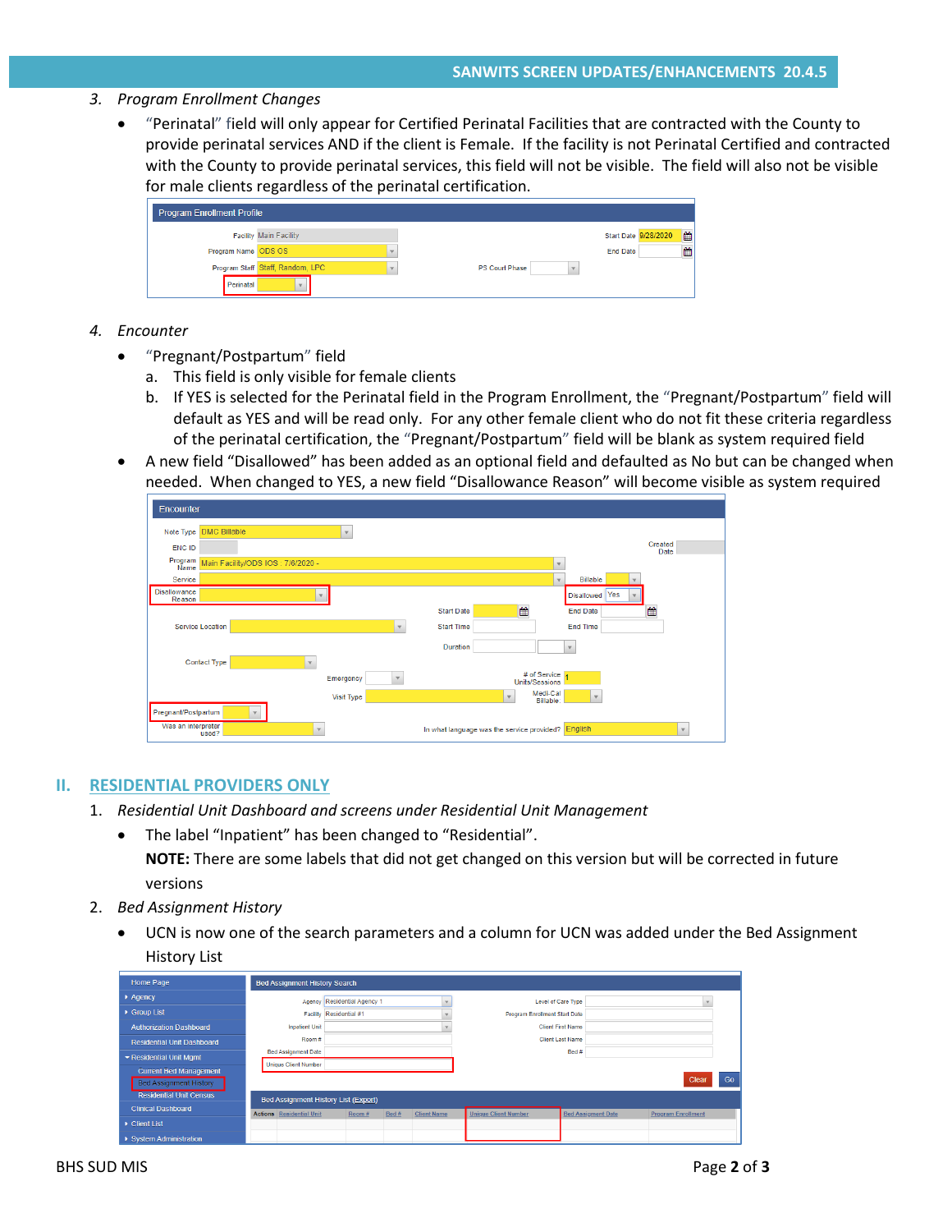### *3. Program Enrollment Changes*

• "Perinatal" field will only appear for Certified Perinatal Facilities that are contracted with the County to provide perinatal services AND if the client is Female. If the facility is not Perinatal Certified and contracted with the County to provide perinatal services, this field will not be visible. The field will also not be visible for male clients regardless of the perinatal certification.

| <b>Program Enrollment Profile</b> |                                  |                           |  |  |  |  |  |  |  |
|-----------------------------------|----------------------------------|---------------------------|--|--|--|--|--|--|--|
|                                   | <b>Facility Main Facility</b>    | ■<br>Start Date 9/28/2020 |  |  |  |  |  |  |  |
| Program Name ODS OS               |                                  | 雦<br><b>End Date</b>      |  |  |  |  |  |  |  |
|                                   | Program Staff Staff, Random, LPC | <b>PS Court Phase</b>     |  |  |  |  |  |  |  |
| Perinatal                         |                                  |                           |  |  |  |  |  |  |  |

- *4. Encounter*
	- "Pregnant/Postpartum" field
		- a. This field is only visible for female clients
		- b. If YES is selected for the Perinatal field in the Program Enrollment, the "Pregnant/Postpartum" field will default as YES and will be read only. For any other female client who do not fit these criteria regardless of the perinatal certification, the "Pregnant/Postpartum" field will be blank as system required field
	- A new field "Disallowed" has been added as an optional field and defaulted as No but can be changed when needed. When changed to YES, a new field "Disallowance Reason" will become visible as system required

| Encounter                     |                                   |                          |                   |                                                    |                          |                 |
|-------------------------------|-----------------------------------|--------------------------|-------------------|----------------------------------------------------|--------------------------|-----------------|
| Note Type DMC Billable        |                                   |                          |                   |                                                    |                          |                 |
| <b>ENC ID</b>                 |                                   |                          |                   |                                                    |                          | Created<br>Date |
| Program<br>Name               | Main Facility/ODS IOS: 7/6/2020 - |                          |                   |                                                    |                          |                 |
| Service                       |                                   |                          |                   |                                                    | <b>Billable</b>          |                 |
| <b>Disallowance</b><br>Reason |                                   |                          |                   |                                                    | Disallowed Yes           |                 |
|                               |                                   |                          | <b>Start Date</b> | 饂                                                  | <b>End Date</b>          | 饂               |
| <b>Service Location</b>       |                                   | $\mathbf{v}$             | <b>Start Time</b> |                                                    | <b>End Time</b>          |                 |
|                               |                                   |                          | <b>Duration</b>   |                                                    | $\mathbf{v}$             |                 |
| Contact Type                  |                                   |                          |                   |                                                    |                          |                 |
|                               |                                   | Emergency<br>$\mathbf v$ |                   | # of Service<br><b>Units/Sessions</b>              |                          |                 |
|                               |                                   | <b>Visit Type</b>        |                   | Medi-Cal<br>$\mathbf{v}$<br>Billable:              | $\overline{\phantom{a}}$ |                 |
| Pregnant/Postpartum           |                                   |                          |                   |                                                    |                          |                 |
| Was an interpreter<br>used?   | $\mathbf{v}$                      |                          |                   | In what language was the service provided? English |                          | $\mathbf{v}$    |

#### **II. RESIDENTIAL PROVIDERS ONLY**

- 1. *Residential Unit Dashboard and screens under Residential Unit Management*
	- The label "Inpatient" has been changed to "Residential". **NOTE:** There are some labels that did not get changed on this version but will be corrected in future versions
- 2. *Bed Assignment History*
	- UCN is now one of the search parameters and a column for UCN was added under the Bed Assignment History List

| Home Page                                                                                        | <b>Bed Assignment History Search</b>                                    |                             |       |                                      |                             |                           |                           |
|--------------------------------------------------------------------------------------------------|-------------------------------------------------------------------------|-----------------------------|-------|--------------------------------------|-----------------------------|---------------------------|---------------------------|
| Agency                                                                                           |                                                                         | Agency Residential Agency 1 |       |                                      |                             | Level of Care Type        |                           |
| ▶ Group List                                                                                     |                                                                         | Facility Residential #1     |       | <b>Program Enrollment Start Date</b> |                             |                           |                           |
| <b>Authorization Dashboard</b>                                                                   | <b>Inpatient Unit</b>                                                   |                             |       |                                      | <b>Client First Name</b>    |                           |                           |
| <b>Residential Unit Dashboard</b>                                                                | Room#                                                                   |                             |       |                                      |                             | <b>Client Last Name</b>   |                           |
| ▼ Residential Unit Mgmt                                                                          | <b>Bed Assignment Date</b>                                              |                             |       |                                      | Bed#                        |                           |                           |
| <b>Current Bed Management</b><br><b>Bed Assignment History</b><br><b>Residential Unit Census</b> | <b>Unique Client Number</b>                                             |                             |       |                                      |                             |                           | G <sub>0</sub><br>Clear   |
| <b>Clinical Dashboard</b>                                                                        | Bed Assignment History List (Export)<br><b>Actions</b> Residential Unit | Room#                       | Bed # | <b>Client Name</b>                   | <b>Unique Client Number</b> | <b>Bed Assigment Date</b> | <b>Program Enrollment</b> |
| • Client List                                                                                    |                                                                         |                             |       |                                      |                             |                           |                           |
| ▶ System Administration                                                                          |                                                                         |                             |       |                                      |                             |                           |                           |